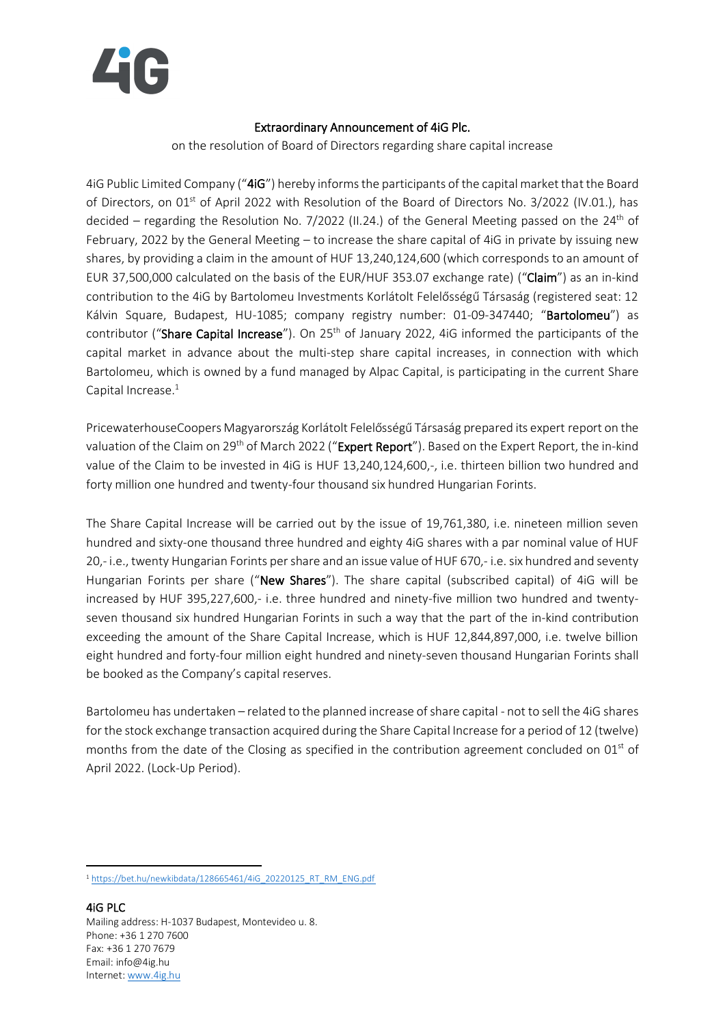

## Extraordinary Announcement of 4iG Plc.

on the resolution of Board of Directors regarding share capital increase

4iG Public Limited Company ("4iG") hereby informs the participants of the capital market that the Board of Directors, on 01<sup>st</sup> of April 2022 with Resolution of the Board of Directors No. 3/2022 (IV.01.), has decided – regarding the Resolution No. 7/2022 (II.24.) of the General Meeting passed on the 24<sup>th</sup> of February, 2022 by the General Meeting – to increase the share capital of 4iG in private by issuing new shares, by providing a claim in the amount of HUF 13,240,124,600 (which corresponds to an amount of EUR 37,500,000 calculated on the basis of the EUR/HUF 353.07 exchange rate) ("Claim") as an in-kind contribution to the 4iG by Bartolomeu Investments Korlátolt Felelősségű Társaság (registered seat: 12 Kálvin Square, Budapest, HU-1085; company registry number: 01-09-347440; "Bartolomeu") as contributor ("Share Capital Increase"). On 25<sup>th</sup> of January 2022, 4iG informed the participants of the capital market in advance about the multi-step share capital increases, in connection with which Bartolomeu, which is owned by a fund managed by Alpac Capital, is participating in the current Share Capital Increase.<sup>1</sup>

PricewaterhouseCoopers Magyarország Korlátolt Felelősségű Társaság prepared its expert report on the valuation of the Claim on 29<sup>th</sup> of March 2022 ("Expert Report"). Based on the Expert Report, the in-kind value of the Claim to be invested in 4iG is HUF 13,240,124,600,-, i.e. thirteen billion two hundred and forty million one hundred and twenty-four thousand six hundred Hungarian Forints.

The Share Capital Increase will be carried out by the issue of 19,761,380, i.e. nineteen million seven hundred and sixty-one thousand three hundred and eighty 4iG shares with a par nominal value of HUF 20,-i.e., twenty Hungarian Forints per share and an issue value of HUF 670,-i.e. six hundred and seventy Hungarian Forints per share ("New Shares"). The share capital (subscribed capital) of 4iG will be increased by HUF 395,227,600,- i.e. three hundred and ninety-five million two hundred and twentyseven thousand six hundred Hungarian Forints in such a way that the part of the in-kind contribution exceeding the amount of the Share Capital Increase, which is HUF 12,844,897,000, i.e. twelve billion eight hundred and forty-four million eight hundred and ninety-seven thousand Hungarian Forints shall be booked as the Company's capital reserves.

Bartolomeu has undertaken – related to the planned increase of share capital - not to sell the 4iG shares for the stock exchange transaction acquired during the Share Capital Increase for a period of 12 (twelve) months from the date of the Closing as specified in the contribution agreement concluded on 01<sup>st</sup> of April 2022. (Lock-Up Period).

<sup>1</sup> [https://bet.hu/newkibdata/128665461/4iG\\_20220125\\_RT\\_RM\\_ENG.pdf](https://bet.hu/newkibdata/128665461/4iG_20220125_RT_RM_ENG.pdf)